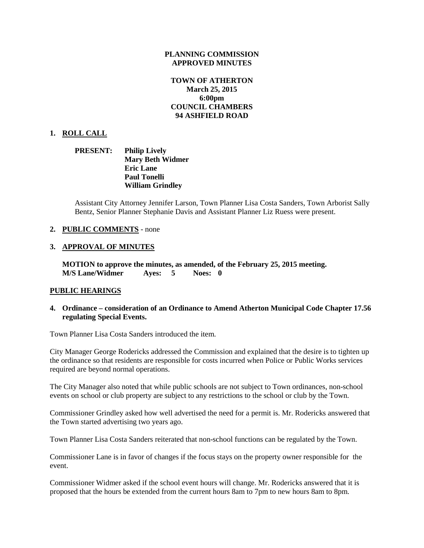### **PLANNING COMMISSION APPROVED MINUTES**

## **TOWN OF ATHERTON March 25, 2015 6:00pm COUNCIL CHAMBERS 94 ASHFIELD ROAD**

## **1. ROLL CALL**

**PRESENT: Philip Lively Mary Beth Widmer Eric Lane Paul Tonelli William Grindley**

Assistant City Attorney Jennifer Larson, Town Planner Lisa Costa Sanders, Town Arborist Sally Bentz, Senior Planner Stephanie Davis and Assistant Planner Liz Ruess were present.

#### **2. PUBLIC COMMENTS** - none

### **3. APPROVAL OF MINUTES**

**MOTION to approve the minutes, as amended, of the February 25, 2015 meeting. M/S Lane/Widmer Ayes: 5 Noes: 0**

#### **PUBLIC HEARINGS**

### **4. Ordinance – consideration of an Ordinance to Amend Atherton Municipal Code Chapter 17.56 regulating Special Events.**

Town Planner Lisa Costa Sanders introduced the item.

City Manager George Rodericks addressed the Commission and explained that the desire is to tighten up the ordinance so that residents are responsible for costs incurred when Police or Public Works services required are beyond normal operations.

The City Manager also noted that while public schools are not subject to Town ordinances, non-school events on school or club property are subject to any restrictions to the school or club by the Town.

Commissioner Grindley asked how well advertised the need for a permit is. Mr. Rodericks answered that the Town started advertising two years ago.

Town Planner Lisa Costa Sanders reiterated that non-school functions can be regulated by the Town.

Commissioner Lane is in favor of changes if the focus stays on the property owner responsible for the event.

Commissioner Widmer asked if the school event hours will change. Mr. Rodericks answered that it is proposed that the hours be extended from the current hours 8am to 7pm to new hours 8am to 8pm.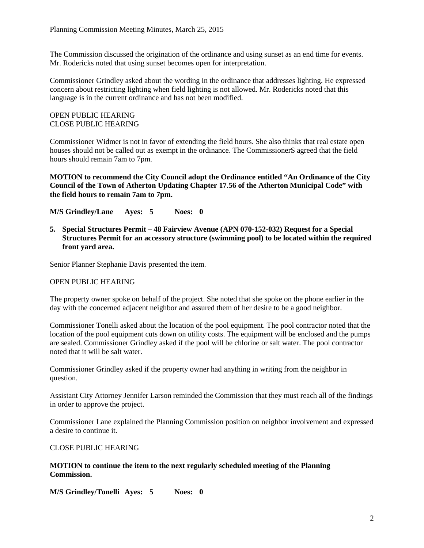The Commission discussed the origination of the ordinance and using sunset as an end time for events. Mr. Rodericks noted that using sunset becomes open for interpretation.

Commissioner Grindley asked about the wording in the ordinance that addresses lighting. He expressed concern about restricting lighting when field lighting is not allowed. Mr. Rodericks noted that this language is in the current ordinance and has not been modified.

## OPEN PUBLIC HEARING CLOSE PUBLIC HEARING

Commissioner Widmer is not in favor of extending the field hours. She also thinks that real estate open houses should not be called out as exempt in the ordinance. The CommissionerS agreed that the field hours should remain 7am to 7pm.

## **MOTION to recommend the City Council adopt the Ordinance entitled "An Ordinance of the City Council of the Town of Atherton Updating Chapter 17.56 of the Atherton Municipal Code" with the field hours to remain 7am to 7pm.**

**M/S Grindley/Lane Ayes: 5 Noes: 0**

**5. Special Structures Permit – 48 Fairview Avenue (APN 070-152-032) Request for a Special Structures Permit for an accessory structure (swimming pool) to be located within the required front yard area.**

Senior Planner Stephanie Davis presented the item.

## OPEN PUBLIC HEARING

The property owner spoke on behalf of the project. She noted that she spoke on the phone earlier in the day with the concerned adjacent neighbor and assured them of her desire to be a good neighbor.

Commissioner Tonelli asked about the location of the pool equipment. The pool contractor noted that the location of the pool equipment cuts down on utility costs. The equipment will be enclosed and the pumps are sealed. Commissioner Grindley asked if the pool will be chlorine or salt water. The pool contractor noted that it will be salt water.

Commissioner Grindley asked if the property owner had anything in writing from the neighbor in question.

Assistant City Attorney Jennifer Larson reminded the Commission that they must reach all of the findings in order to approve the project.

Commissioner Lane explained the Planning Commission position on neighbor involvement and expressed a desire to continue it.

#### CLOSE PUBLIC HEARING

## **MOTION to continue the item to the next regularly scheduled meeting of the Planning Commission.**

**M/S Grindley/Tonelli Ayes: 5 Noes: 0**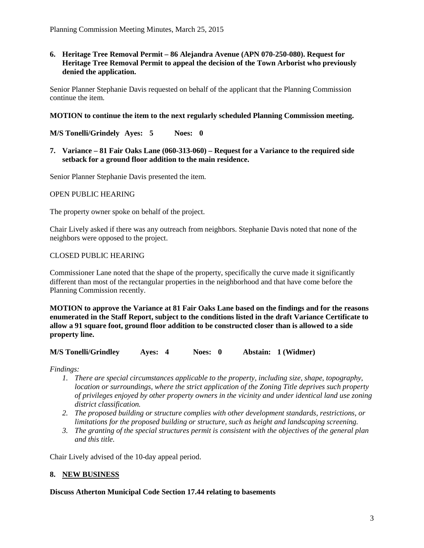## **6. Heritage Tree Removal Permit – 86 Alejandra Avenue (APN 070-250-080). Request for Heritage Tree Removal Permit to appeal the decision of the Town Arborist who previously denied the application.**

Senior Planner Stephanie Davis requested on behalf of the applicant that the Planning Commission continue the item.

### **MOTION to continue the item to the next regularly scheduled Planning Commission meeting.**

**M/S Tonelli/Grindely Ayes: 5 Noes: 0**

**7. Variance – 81 Fair Oaks Lane (060-313-060) – Request for a Variance to the required side setback for a ground floor addition to the main residence.**

Senior Planner Stephanie Davis presented the item.

#### OPEN PUBLIC HEARING

The property owner spoke on behalf of the project.

Chair Lively asked if there was any outreach from neighbors. Stephanie Davis noted that none of the neighbors were opposed to the project.

### CLOSED PUBLIC HEARING

Commissioner Lane noted that the shape of the property, specifically the curve made it significantly different than most of the rectangular properties in the neighborhood and that have come before the Planning Commission recently.

**MOTION to approve the Variance at 81 Fair Oaks Lane based on the findings and for the reasons enumerated in the Staff Report, subject to the conditions listed in the draft Variance Certificate to allow a 91 square foot, ground floor addition to be constructed closer than is allowed to a side property line.**

**M/S Tonelli/Grindley Ayes: 4 Noes: 0 Abstain: 1 (Widmer)**

*Findings:*

- *1. There are special circumstances applicable to the property, including size, shape, topography, location or surroundings, where the strict application of the Zoning Title deprives such property of privileges enjoyed by other property owners in the vicinity and under identical land use zoning district classification.*
- *2. The proposed building or structure complies with other development standards, restrictions, or limitations for the proposed building or structure, such as height and landscaping screening.*
- *3. The granting of the special structures permit is consistent with the objectives of the general plan and this title.*

Chair Lively advised of the 10-day appeal period.

## **8. NEW BUSINESS**

**Discuss Atherton Municipal Code Section 17.44 relating to basements**